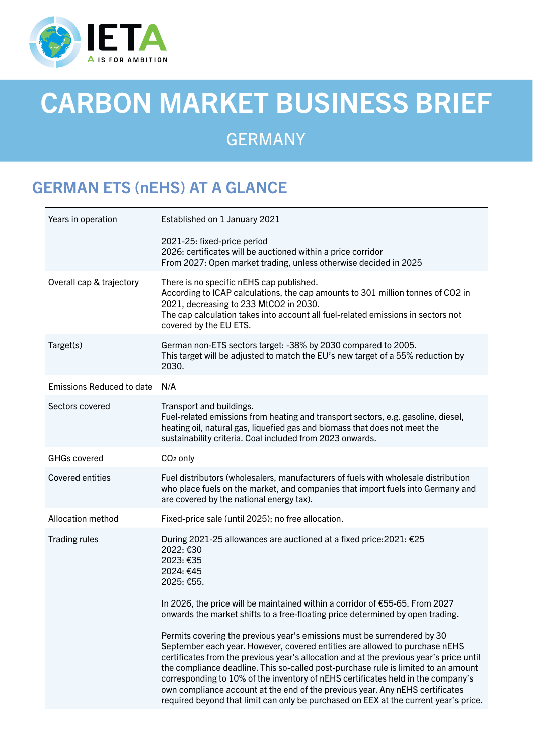

# CARBON MARKET BUSINESS BRIEF

# GERMANY

# GERMAN ETS (nEHS) AT A GLANCE

| Years in operation               | Established on 1 January 2021                                                                                                                                                                                                                                                                                                                                                                                                                                                                                                                                                                         |
|----------------------------------|-------------------------------------------------------------------------------------------------------------------------------------------------------------------------------------------------------------------------------------------------------------------------------------------------------------------------------------------------------------------------------------------------------------------------------------------------------------------------------------------------------------------------------------------------------------------------------------------------------|
|                                  | 2021-25: fixed-price period<br>2026: certificates will be auctioned within a price corridor<br>From 2027: Open market trading, unless otherwise decided in 2025                                                                                                                                                                                                                                                                                                                                                                                                                                       |
| Overall cap & trajectory         | There is no specific nEHS cap published.<br>According to ICAP calculations, the cap amounts to 301 million tonnes of CO2 in<br>2021, decreasing to 233 MtCO2 in 2030.<br>The cap calculation takes into account all fuel-related emissions in sectors not<br>covered by the EU ETS.                                                                                                                                                                                                                                                                                                                   |
| Target(s)                        | German non-ETS sectors target: -38% by 2030 compared to 2005.<br>This target will be adjusted to match the EU's new target of a 55% reduction by<br>2030.                                                                                                                                                                                                                                                                                                                                                                                                                                             |
| <b>Emissions Reduced to date</b> | N/A                                                                                                                                                                                                                                                                                                                                                                                                                                                                                                                                                                                                   |
| Sectors covered                  | Transport and buildings.<br>Fuel-related emissions from heating and transport sectors, e.g. gasoline, diesel,<br>heating oil, natural gas, liquefied gas and biomass that does not meet the<br>sustainability criteria. Coal included from 2023 onwards.                                                                                                                                                                                                                                                                                                                                              |
| <b>GHGs covered</b>              | CO <sub>2</sub> only                                                                                                                                                                                                                                                                                                                                                                                                                                                                                                                                                                                  |
| <b>Covered entities</b>          | Fuel distributors (wholesalers, manufacturers of fuels with wholesale distribution<br>who place fuels on the market, and companies that import fuels into Germany and<br>are covered by the national energy tax).                                                                                                                                                                                                                                                                                                                                                                                     |
| Allocation method                | Fixed-price sale (until 2025); no free allocation.                                                                                                                                                                                                                                                                                                                                                                                                                                                                                                                                                    |
| <b>Trading rules</b>             | During 2021-25 allowances are auctioned at a fixed price: 2021: €25<br>2022: €30<br>2023: €35<br>2024: €45<br>2025: €55.                                                                                                                                                                                                                                                                                                                                                                                                                                                                              |
|                                  | In 2026, the price will be maintained within a corridor of €55-65. From 2027<br>onwards the market shifts to a free-floating price determined by open trading.                                                                                                                                                                                                                                                                                                                                                                                                                                        |
|                                  | Permits covering the previous year's emissions must be surrendered by 30<br>September each year. However, covered entities are allowed to purchase nEHS<br>certificates from the previous year's allocation and at the previous year's price until<br>the compliance deadline. This so-called post-purchase rule is limited to an amount<br>corresponding to 10% of the inventory of nEHS certificates held in the company's<br>own compliance account at the end of the previous year. Any nEHS certificates<br>required beyond that limit can only be purchased on EEX at the current year's price. |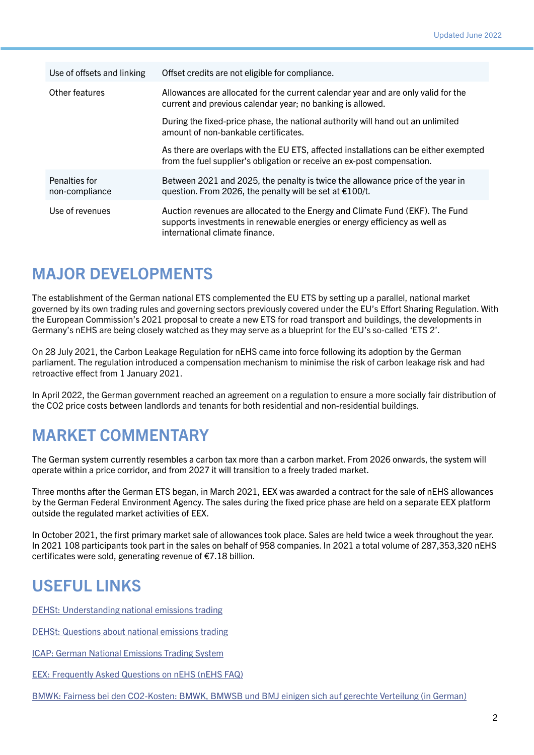| Use of offsets and linking      | Offset credits are not eligible for compliance.                                                                                                                                               |
|---------------------------------|-----------------------------------------------------------------------------------------------------------------------------------------------------------------------------------------------|
| Other features                  | Allowances are allocated for the current calendar year and are only valid for the<br>current and previous calendar year; no banking is allowed.                                               |
|                                 | During the fixed-price phase, the national authority will hand out an unlimited<br>amount of non-bankable certificates.                                                                       |
|                                 | As there are overlaps with the EU ETS, affected installations can be either exempted<br>from the fuel supplier's obligation or receive an ex-post compensation.                               |
| Penalties for<br>non-compliance | Between 2021 and 2025, the penalty is twice the allowance price of the year in<br>question. From 2026, the penalty will be set at €100/t.                                                     |
| Use of revenues                 | Auction revenues are allocated to the Energy and Climate Fund (EKF). The Fund<br>supports investments in renewable energies or energy efficiency as well as<br>international climate finance. |

#### MAJOR DEVELOPMENTS

The establishment of the German national ETS complemented the EU ETS by setting up a parallel, national market governed by its own trading rules and governing sectors previously covered under the EU's Effort Sharing Regulation. With the European Commission's 2021 proposal to create a new ETS for road transport and buildings, the developments in Germany's nEHS are being closely watched as they may serve as a blueprint for the EU's so-called 'ETS 2'.

On 28 July 2021, the Carbon Leakage Regulation for nEHS came into force following its adoption by the German parliament. The regulation introduced a compensation mechanism to minimise the risk of carbon leakage risk and had retroactive effect from 1 January 2021.

In April 2022, the German government reached an agreement on a regulation to ensure a more socially fair distribution of the CO2 price costs between landlords and tenants for both residential and non-residential buildings.

# MARKET COMMENTARY

The German system currently resembles a carbon tax more than a carbon market. From 2026 onwards, the system will operate within a price corridor, and from 2027 it will transition to a freely traded market.

Three months after the German ETS began, in March 2021, EEX was awarded a contract for the sale of nEHS allowances by the German Federal Environment Agency. The sales during the fixed price phase are held on a separate EEX platform outside the regulated market activities of EEX.

In October 2021, the first primary market sale of allowances took place. Sales are held twice a week throughout the year. In 2021 108 participants took part in the sales on behalf of 958 companies. In 2021 a total volume of 287,353,320 nEHS certificates were sold, generating revenue of €7.18 billion.

# USEFUL LINKS

[DEHSt: Understanding national emissions trading](https://www.dehst.de/EN/national-emissions-trading/understanding-national-emissions-trading/understanding-nehs_node.html)

[DEHSt: Questions about national emissions trading](https://www.dehst.de/SharedDocs/downloads/EN/nehs/nEHS-10-questions-paper.pdf?__blob=publicationFile&v=4)

[ICAP: German National Emissions Trading System](https://icapcarbonaction.com/en/ets/german-national-emissions-trading-system)

[EEX: Frequently Asked Questions on nEHS \(nEHS FAQ\)](https://www.eex.com/fileadmin/EEX/Downloads/nEHS_FAQ/nEHS_FAQ_EN.pdf)

[BMWK: Fairness bei den CO2-Kosten: BMWK, BMWSB und BMJ einigen sich auf gerechte Verteilung](https://www.bmwk.de/Redaktion/DE/Pressemitteilungen/2022/04/20220403-fairness-bei-den-co2-kosten-bmwk-bmwsb-und-bmj-einigen-sich-auf-gerechte-verteilung.html) (in German)